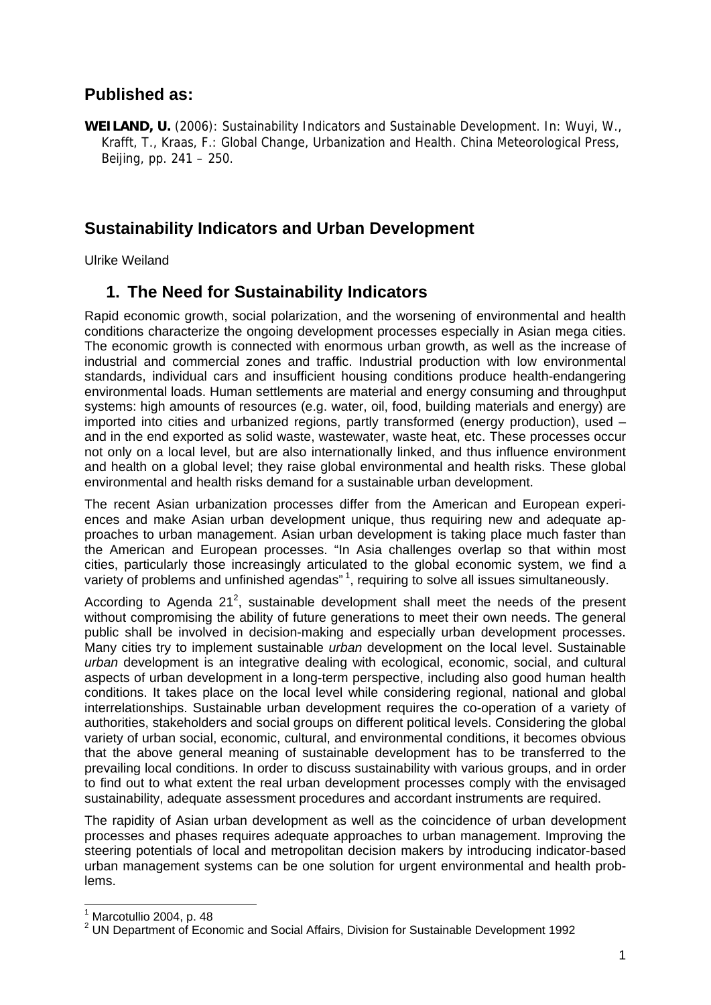## **Published as:**

**WEILAND, U.** (2006): Sustainability Indicators and Sustainable Development. In: Wuyi, W., Krafft, T., Kraas, F.: Global Change, Urbanization and Health. China Meteorological Press, Beijing, pp. 241 – 250.

## **Sustainability Indicators and Urban Development**

Ulrike Weiland

### **1. The Need for Sustainability Indicators**

Rapid economic growth, social polarization, and the worsening of environmental and health conditions characterize the ongoing development processes especially in Asian mega cities. The economic growth is connected with enormous urban growth, as well as the increase of industrial and commercial zones and traffic. Industrial production with low environmental standards, individual cars and insufficient housing conditions produce health-endangering environmental loads. Human settlements are material and energy consuming and throughput systems: high amounts of resources (e.g. water, oil, food, building materials and energy) are imported into cities and urbanized regions, partly transformed (energy production), used – and in the end exported as solid waste, wastewater, waste heat, etc. These processes occur not only on a local level, but are also internationally linked, and thus influence environment and health on a global level; they raise global environmental and health risks. These global environmental and health risks demand for a sustainable urban development.

The recent Asian urbanization processes differ from the American and European experiences and make Asian urban development unique, thus requiring new and adequate approaches to urban management. Asian urban development is taking place much faster than the American and European processes. "In Asia challenges overlap so that within most cities, particularly those increasingly articulated to the global economic system, we find a variety of problems and unfinished agendas"<sup>1</sup>, requiring to solve all issues simultaneously.

According to Agenda  $21^2$ , sustainable development shall meet the needs of the present without compromising the ability of future generations to meet their own needs. The general public shall be involved in decision-making and especially urban development processes. Many cities try to implement sustainable *urban* development on the local level. Sustainable *urban* development is an integrative dealing with ecological, economic, social, and cultural aspects of urban development in a long-term perspective, including also good human health conditions. It takes place on the local level while considering regional, national and global interrelationships. Sustainable urban development requires the co-operation of a variety of authorities, stakeholders and social groups on different political levels. Considering the global variety of urban social, economic, cultural, and environmental conditions, it becomes obvious that the above general meaning of sustainable development has to be transferred to the prevailing local conditions. In order to discuss sustainability with various groups, and in order to find out to what extent the real urban development processes comply with the envisaged sustainability, adequate assessment procedures and accordant instruments are required.

The rapidity of Asian urban development as well as the coincidence of urban development processes and phases requires adequate approaches to urban management. Improving the steering potentials of local and metropolitan decision makers by introducing indicator-based urban management systems can be one solution for urgent environmental and health problems.

 $\overline{\phantom{a}}$ 

 $<sup>1</sup>$  Marcotullio 2004, p. 48</sup>

<sup>&</sup>lt;sup>2</sup> UN Department of Economic and Social Affairs, Division for Sustainable Development 1992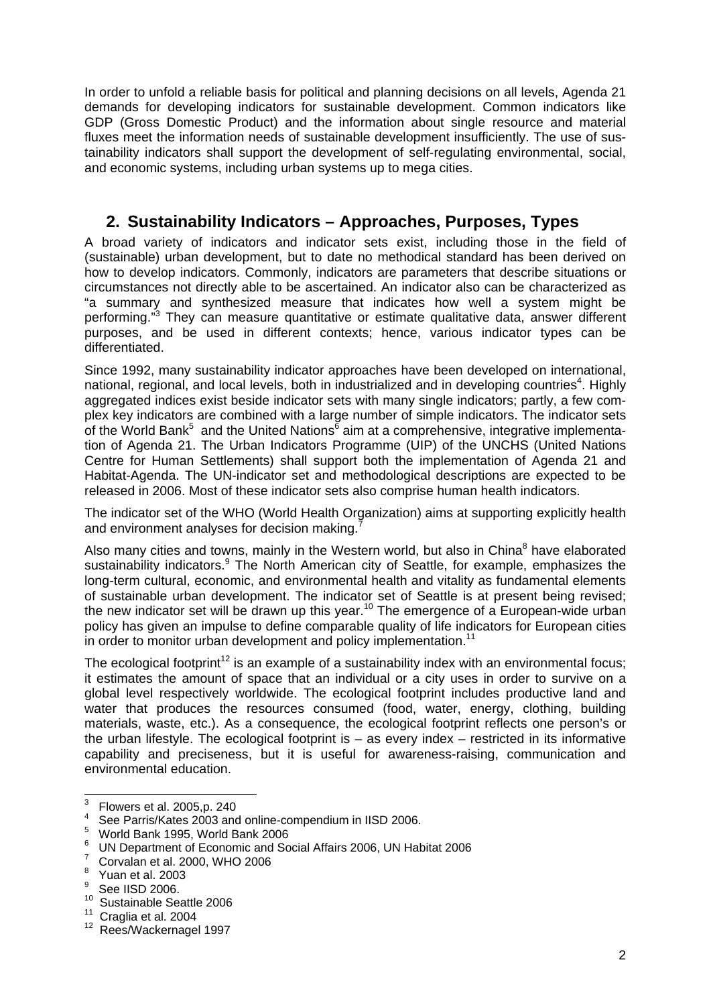In order to unfold a reliable basis for political and planning decisions on all levels, Agenda 21 demands for developing indicators for sustainable development. Common indicators like GDP (Gross Domestic Product) and the information about single resource and material fluxes meet the information needs of sustainable development insufficiently. The use of sustainability indicators shall support the development of self-regulating environmental, social, and economic systems, including urban systems up to mega cities.

# **2. Sustainability Indicators – Approaches, Purposes, Types**

A broad variety of indicators and indicator sets exist, including those in the field of (sustainable) urban development, but to date no methodical standard has been derived on how to develop indicators. Commonly, indicators are parameters that describe situations or circumstances not directly able to be ascertained. An indicator also can be characterized as "a summary and synthesized measure that indicates how well a system might be performing."<sup>3</sup> They can measure quantitative or estimate qualitative data, answer different purposes, and be used in different contexts; hence, various indicator types can be differentiated.

Since 1992, many sustainability indicator approaches have been developed on international, national, regional, and local levels, both in industrialized and in developing countries<sup>4</sup>. Highly aggregated indices exist beside indicator sets with many single indicators; partly, a few complex key indicators are combined with a large number of simple indicators. The indicator sets of the World Bank<sup>5</sup> and the United Nations<sup>6</sup> aim at a comprehensive, integrative implementation of Agenda 21. The Urban Indicators Programme (UIP) of the UNCHS (United Nations Centre for Human Settlements) shall support both the implementation of Agenda 21 and Habitat-Agenda. The UN-indicator set and methodological descriptions are expected to be released in 2006. Most of these indicator sets also comprise human health indicators.

The indicator set of the WHO (World Health Organization) aims at supporting explicitly health and environment analyses for decision making.<sup>7</sup>

Also many cities and towns, mainly in the Western world, but also in China<sup>8</sup> have elaborated sustainability indicators.<sup>9</sup> The North American city of Seattle, for example, emphasizes the long-term cultural, economic, and environmental health and vitality as fundamental elements of sustainable urban development. The indicator set of Seattle is at present being revised; the new indicator set will be drawn up this year.<sup>10</sup> The emergence of a European-wide urban policy has given an impulse to define comparable quality of life indicators for European cities in order to monitor urban development and policy implementation.<sup>11</sup>

The ecological footprint<sup>12</sup> is an example of a sustainability index with an environmental focus; it estimates the amount of space that an individual or a city uses in order to survive on a global level respectively worldwide. The ecological footprint includes productive land and water that produces the resources consumed (food, water, energy, clothing, building materials, waste, etc.). As a consequence, the ecological footprint reflects one person's or the urban lifestyle. The ecological footprint is  $-$  as every index  $-$  restricted in its informative capability and preciseness, but it is useful for awareness-raising, communication and environmental education.

 $\frac{1}{3}$ Flowers et al. 2005,p. 240

<sup>4</sup> See Parris/Kates 2003 and online-compendium in IISD 2006.

<sup>5</sup> World Bank 1995, World Bank 2006

<sup>6</sup> UN Department of Economic and Social Affairs 2006, UN Habitat 2006

<sup>7</sup> Corvalan et al. 2000, WHO 2006

<sup>&</sup>lt;sup>8</sup> Yuan et al. 2003

 $9$  See IISD 2006.

 $10^{10}$  Sustainable Seattle 2006<br> $11$  Craglia et al. 2004

<sup>&</sup>lt;sup>12</sup> Rees/Wackernagel 1997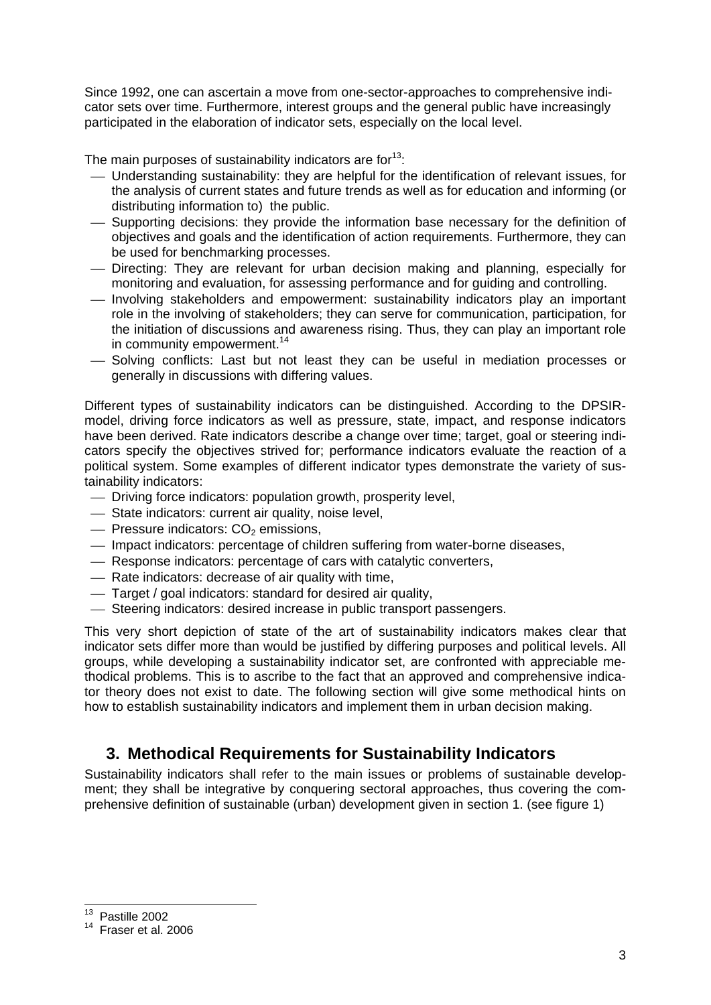Since 1992, one can ascertain a move from one-sector-approaches to comprehensive indicator sets over time. Furthermore, interest groups and the general public have increasingly participated in the elaboration of indicator sets, especially on the local level.

The main purposes of sustainability indicators are for  $13$ :

- ⎯ Understanding sustainability: they are helpful for the identification of relevant issues, for the analysis of current states and future trends as well as for education and informing (or distributing information to) the public.
- ⎯ Supporting decisions: they provide the information base necessary for the definition of objectives and goals and the identification of action requirements. Furthermore, they can be used for benchmarking processes.
- ⎯ Directing: They are relevant for urban decision making and planning, especially for monitoring and evaluation, for assessing performance and for guiding and controlling.
- ⎯ Involving stakeholders and empowerment: sustainability indicators play an important role in the involving of stakeholders; they can serve for communication, participation, for the initiation of discussions and awareness rising. Thus, they can play an important role in community empowerment.<sup>14</sup>
- ⎯ Solving conflicts: Last but not least they can be useful in mediation processes or generally in discussions with differing values.

Different types of sustainability indicators can be distinguished. According to the DPSIRmodel, driving force indicators as well as pressure, state, impact, and response indicators have been derived. Rate indicators describe a change over time; target, goal or steering indicators specify the objectives strived for; performance indicators evaluate the reaction of a political system. Some examples of different indicator types demonstrate the variety of sustainability indicators:

- Driving force indicators: population growth, prosperity level,
- ⎯ State indicators: current air quality, noise level,
- $-$  Pressure indicators:  $CO<sub>2</sub>$  emissions,
- ⎯ Impact indicators: percentage of children suffering from water-borne diseases,
- Response indicators: percentage of cars with catalytic converters,
- Rate indicators: decrease of air quality with time,
- Target / goal indicators: standard for desired air quality,
- ⎯ Steering indicators: desired increase in public transport passengers.

This very short depiction of state of the art of sustainability indicators makes clear that indicator sets differ more than would be justified by differing purposes and political levels. All groups, while developing a sustainability indicator set, are confronted with appreciable methodical problems. This is to ascribe to the fact that an approved and comprehensive indicator theory does not exist to date. The following section will give some methodical hints on how to establish sustainability indicators and implement them in urban decision making.

## **3. Methodical Requirements for Sustainability Indicators**

Sustainability indicators shall refer to the main issues or problems of sustainable development; they shall be integrative by conquering sectoral approaches, thus covering the comprehensive definition of sustainable (urban) development given in section 1. (see figure 1)

 $\overline{\phantom{a}}$ <sup>13</sup> Pastille 2002

<sup>&</sup>lt;sup>14</sup> Fraser et al. 2006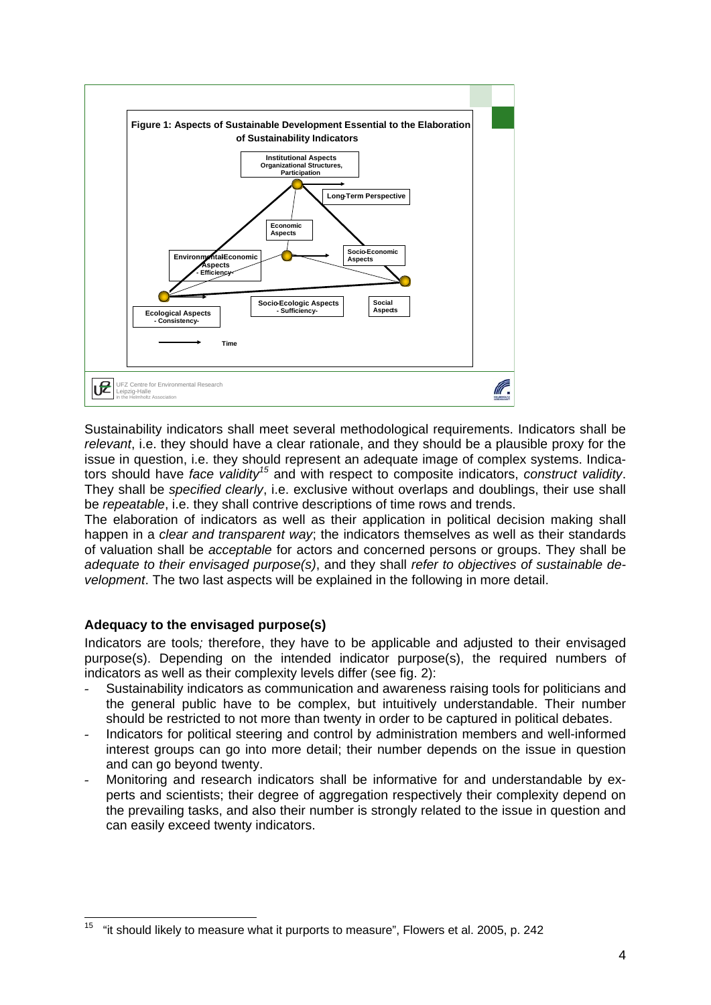

Sustainability indicators shall meet several methodological requirements. Indicators shall be *relevant*, i.e. they should have a clear rationale, and they should be a plausible proxy for the issue in question, i.e. they should represent an adequate image of complex systems. Indicators should have *face validity15* and with respect to composite indicators, *construct validity*. They shall be *specified clearly*, i.e. exclusive without overlaps and doublings, their use shall be *repeatable*, i.e. they shall contrive descriptions of time rows and trends.

The elaboration of indicators as well as their application in political decision making shall happen in a *clear and transparent way*; the indicators themselves as well as their standards of valuation shall be *acceptable* for actors and concerned persons or groups. They shall be *adequate to their envisaged purpose(s)*, and they shall *refer to objectives of sustainable development*. The two last aspects will be explained in the following in more detail.

#### **Adequacy to the envisaged purpose(s)**

1

Indicators are tools*;* therefore, they have to be applicable and adjusted to their envisaged purpose(s). Depending on the intended indicator purpose(s), the required numbers of indicators as well as their complexity levels differ (see fig. 2):

- Sustainability indicators as communication and awareness raising tools for politicians and the general public have to be complex, but intuitively understandable. Their number should be restricted to not more than twenty in order to be captured in political debates.
- Indicators for political steering and control by administration members and well-informed interest groups can go into more detail; their number depends on the issue in question and can go beyond twenty.
- Monitoring and research indicators shall be informative for and understandable by experts and scientists; their degree of aggregation respectively their complexity depend on the prevailing tasks, and also their number is strongly related to the issue in question and can easily exceed twenty indicators.

<sup>15 &</sup>quot;it should likely to measure what it purports to measure", Flowers et al. 2005, p. 242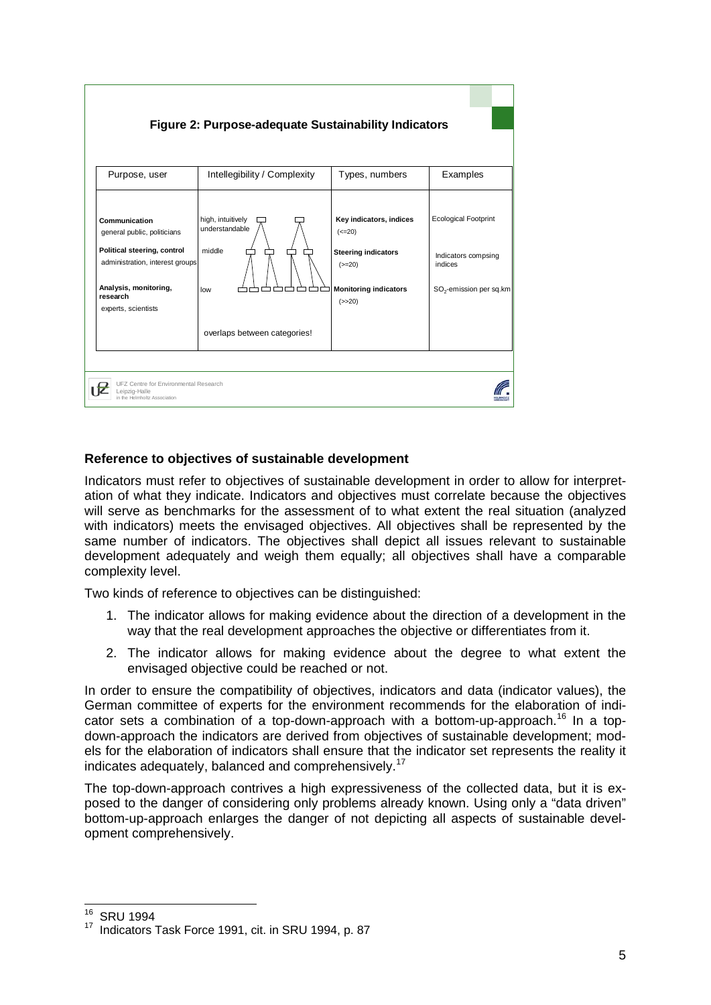

### **Reference to objectives of sustainable development**

Indicators must refer to objectives of sustainable development in order to allow for interpretation of what they indicate. Indicators and objectives must correlate because the objectives will serve as benchmarks for the assessment of to what extent the real situation (analyzed with indicators) meets the envisaged objectives. All objectives shall be represented by the same number of indicators. The objectives shall depict all issues relevant to sustainable development adequately and weigh them equally; all objectives shall have a comparable complexity level.

Two kinds of reference to objectives can be distinguished:

- 1. The indicator allows for making evidence about the direction of a development in the way that the real development approaches the objective or differentiates from it.
- 2. The indicator allows for making evidence about the degree to what extent the envisaged objective could be reached or not.

In order to ensure the compatibility of objectives, indicators and data (indicator values), the German committee of experts for the environment recommends for the elaboration of indicator sets a combination of a top-down-approach with a bottom-up-approach.<sup>16</sup> In a topdown-approach the indicators are derived from objectives of sustainable development; models for the elaboration of indicators shall ensure that the indicator set represents the reality it indicates adequately, balanced and comprehensively.17

The top-down-approach contrives a high expressiveness of the collected data, but it is exposed to the danger of considering only problems already known. Using only a "data driven" bottom-up-approach enlarges the danger of not depicting all aspects of sustainable development comprehensively.

 $\overline{\phantom{a}}$ 

<sup>16</sup> SRU 1994

<sup>&</sup>lt;sup>17</sup> Indicators Task Force 1991, cit. in SRU 1994, p. 87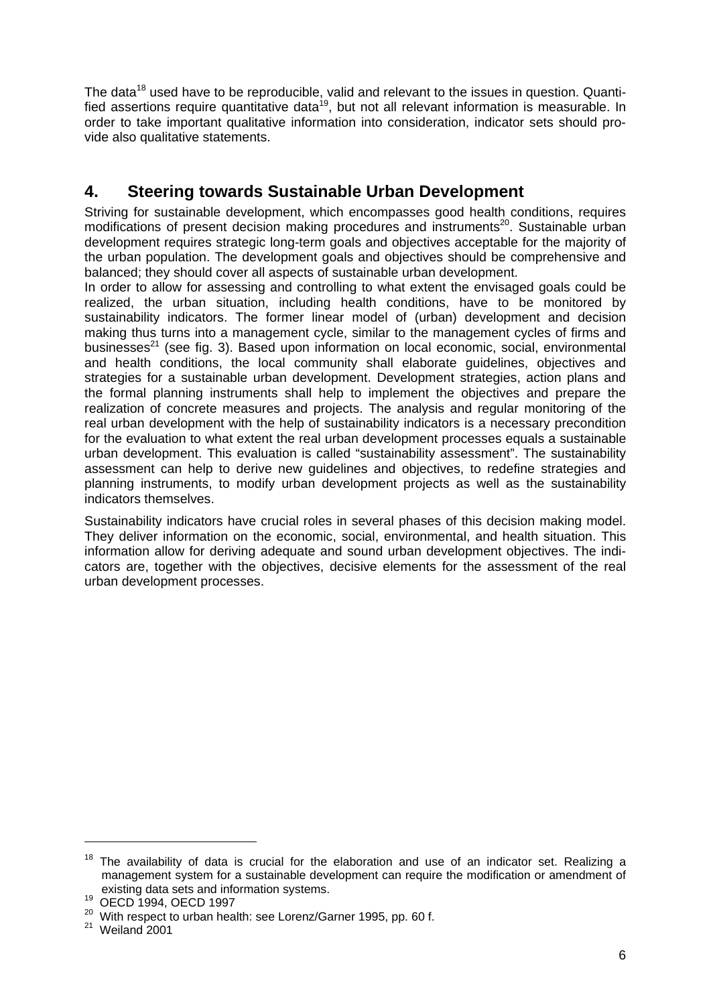The data<sup>18</sup> used have to be reproducible, valid and relevant to the issues in question. Quantified assertions require quantitative data<sup>19</sup>, but not all relevant information is measurable. In order to take important qualitative information into consideration, indicator sets should provide also qualitative statements.

## **4. Steering towards Sustainable Urban Development**

Striving for sustainable development, which encompasses good health conditions, requires modifications of present decision making procedures and instruments<sup>20</sup>. Sustainable urban development requires strategic long-term goals and objectives acceptable for the majority of the urban population. The development goals and objectives should be comprehensive and balanced; they should cover all aspects of sustainable urban development.

In order to allow for assessing and controlling to what extent the envisaged goals could be realized, the urban situation, including health conditions, have to be monitored by sustainability indicators. The former linear model of (urban) development and decision making thus turns into a management cycle, similar to the management cycles of firms and businesses<sup>21</sup> (see fig. 3). Based upon information on local economic, social, environmental and health conditions, the local community shall elaborate guidelines, objectives and strategies for a sustainable urban development. Development strategies, action plans and the formal planning instruments shall help to implement the objectives and prepare the realization of concrete measures and projects. The analysis and regular monitoring of the real urban development with the help of sustainability indicators is a necessary precondition for the evaluation to what extent the real urban development processes equals a sustainable urban development. This evaluation is called "sustainability assessment". The sustainability assessment can help to derive new guidelines and objectives, to redefine strategies and planning instruments, to modify urban development projects as well as the sustainability indicators themselves.

Sustainability indicators have crucial roles in several phases of this decision making model. They deliver information on the economic, social, environmental, and health situation. This information allow for deriving adequate and sound urban development objectives. The indicators are, together with the objectives, decisive elements for the assessment of the real urban development processes.

1

<sup>&</sup>lt;sup>18</sup> The availability of data is crucial for the elaboration and use of an indicator set. Realizing a management system for a sustainable development can require the modification or amendment of existing data sets and information systems. 19 OECD 1994, OECD 1997

<sup>&</sup>lt;sup>20</sup> With respect to urban health: see Lorenz/Garner 1995, pp. 60 f.<br><sup>21</sup> Weiland 2001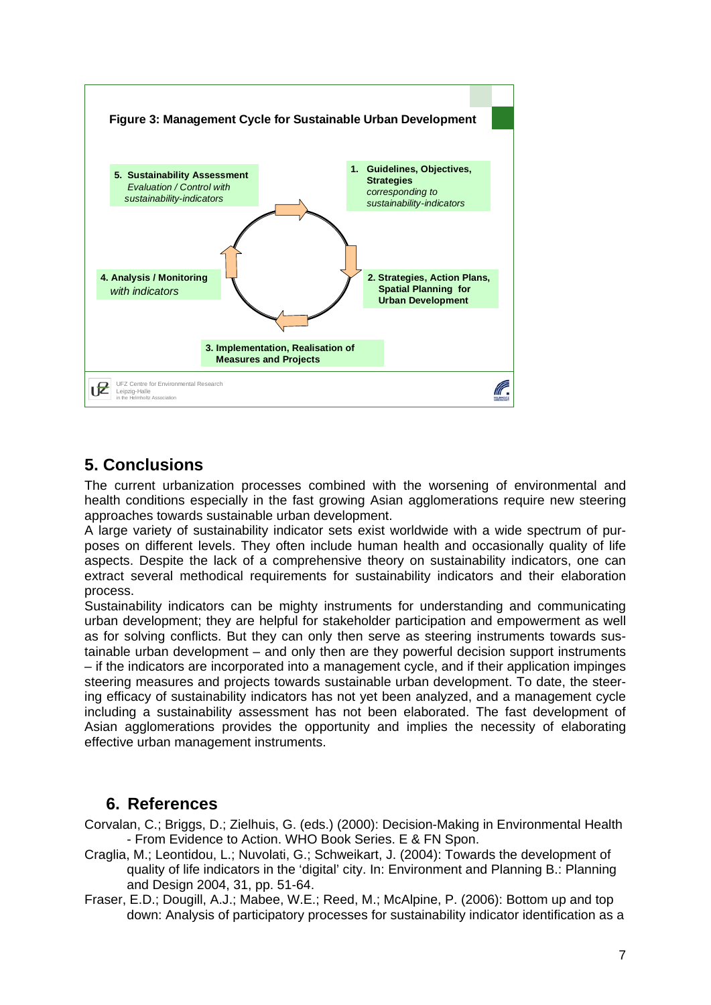

# **5. Conclusions**

The current urbanization processes combined with the worsening of environmental and health conditions especially in the fast growing Asian agglomerations require new steering approaches towards sustainable urban development.

A large variety of sustainability indicator sets exist worldwide with a wide spectrum of purposes on different levels. They often include human health and occasionally quality of life aspects. Despite the lack of a comprehensive theory on sustainability indicators, one can extract several methodical requirements for sustainability indicators and their elaboration process.

Sustainability indicators can be mighty instruments for understanding and communicating urban development; they are helpful for stakeholder participation and empowerment as well as for solving conflicts. But they can only then serve as steering instruments towards sustainable urban development – and only then are they powerful decision support instruments – if the indicators are incorporated into a management cycle, and if their application impinges steering measures and projects towards sustainable urban development. To date, the steering efficacy of sustainability indicators has not yet been analyzed, and a management cycle including a sustainability assessment has not been elaborated. The fast development of Asian agglomerations provides the opportunity and implies the necessity of elaborating effective urban management instruments.

### **6. References**

- Corvalan, C.; Briggs, D.; Zielhuis, G. (eds.) (2000): Decision-Making in Environmental Health - From Evidence to Action. WHO Book Series. E & FN Spon.
- Craglia, M.; Leontidou, L.; Nuvolati, G.; Schweikart, J. (2004): Towards the development of quality of life indicators in the 'digital' city. In: Environment and Planning B.: Planning and Design 2004, 31, pp. 51-64.
- Fraser, E.D.; Dougill, A.J.; Mabee, W.E.; Reed, M.; McAlpine, P. (2006): Bottom up and top down: Analysis of participatory processes for sustainability indicator identification as a